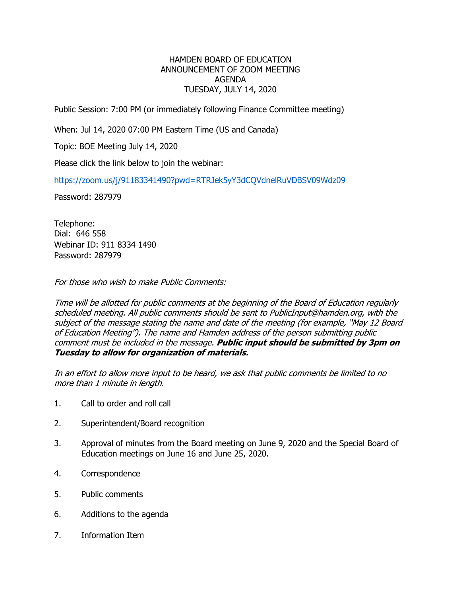## HAMDEN BOARD OF EDUCATION ANNOUNCEMENT OF ZOOM MEETING AGENDA TUESDAY, JULY 14, 2020

Public Session: 7:00 PM (or immediately following Finance Committee meeting)

When: Jul 14, 2020 07:00 PM Eastern Time (US and Canada)

Topic: BOE Meeting July 14, 2020

Please click the link below to join the webinar:

<https://zoom.us/j/91183341490?pwd=RTRJek5yY3dCQVdnelRuVDBSV09Wdz09>

Password: 287979

Telephone: Dial: 646 558 Webinar ID: 911 8334 1490 Password: 287979

For those who wish to make Public Comments:

Time will be allotted for public comments at the beginning of the Board of Education regularly scheduled meeting. All public comments should be sent to PublicInput@hamden.org, with the subject of the message stating the name and date of the meeting (for example, "May 12 Board of Education Meeting"). The name and Hamden address of the person submitting public comment must be included in the message. **Public input should be submitted by 3pm on Tuesday to allow for organization of materials.**

In an effort to allow more input to be heard, we ask that public comments be limited to no more than 1 minute in length.

- 1. Call to order and roll call
- 2. Superintendent/Board recognition
- 3. Approval of minutes from the Board meeting on June 9, 2020 and the Special Board of Education meetings on June 16 and June 25, 2020.
- 4. Correspondence
- 5. Public comments
- 6. Additions to the agenda
- 7. Information Item